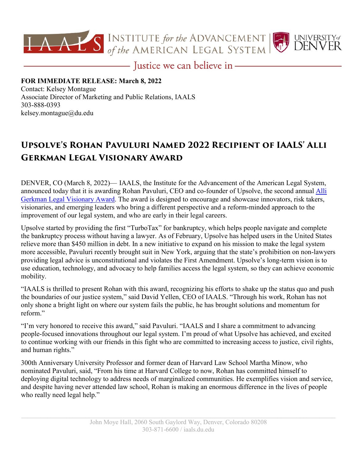

- Justice we can believe in -

## **FOR IMMEDIATE RELEASE: March 8, 2022** Contact: Kelsey Montague

Associate Director of Marketing and Public Relations, IAALS 303-888-0393 [kelsey.montague@du.edu](mailto:kelsey.montague@du.edu)

## **Upsolve's Rohan Pavuluri Named 2022 Recipient of IAALS' Alli Gerkman Legal Visionary Award**

DENVER, CO (March 8, 2022)— IAALS, the Institute for the Advancement of the American Legal System, announced today that it is awarding Rohan Pavuluri, CEO and co-founder of Upsolve, the second annual Alli [Gerkman Legal Visionary Award.](https://iaals.du.edu/alli-gerkman-legal-visionary-award) The award is designed to encourage and showcase innovators, risk takers, visionaries, and emerging leaders who bring a different perspective and a reform-minded approach to the improvement of our legal system, and who are early in their legal careers.

Upsolve started by providing the first "TurboTax" for bankruptcy, which helps people navigate and complete the bankruptcy process without having a lawyer. As of February, Upsolve has helped users in the United States relieve more than \$450 million in debt. In a new initiative to expand on his mission to make the legal system more accessible, Pavuluri recently brought suit in New York, arguing that the state's prohibition on non-lawyers providing legal advice is unconstitutional and violates the First Amendment. Upsolve's long-term vision is to use education, technology, and advocacy to help families access the legal system, so they can achieve economic mobility.

"IAALS is thrilled to present Rohan with this award, recognizing his efforts to shake up the status quo and push the boundaries of our justice system," said David Yellen, CEO of IAALS. "Through his work, Rohan has not only shone a bright light on where our system fails the public, he has brought solutions and momentum for reform."

"I'm very honored to receive this award," said Pavuluri. "IAALS and I share a commitment to advancing people-focused innovations throughout our legal system. I'm proud of what Upsolve has achieved, and excited to continue working with our friends in this fight who are committed to increasing access to justice, civil rights, and human rights."

300th Anniversary University Professor and former dean of Harvard Law School Martha Minow, who nominated Pavuluri, said, "From his time at Harvard College to now, Rohan has committed himself to deploying digital technology to address needs of marginalized communities. He exemplifies vision and service, and despite having never attended law school, Rohan is making an enormous difference in the lives of people who really need legal help."